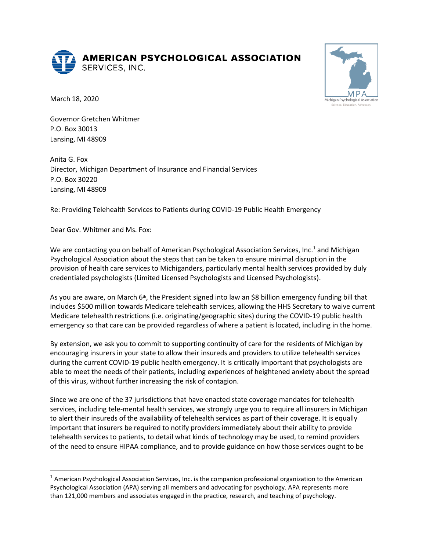**AMERICAN PSYCHOLOGICAL ASSOCIATION** SERVICES, INC.



March 18, 2020

Governor Gretchen Whitmer P.O. Box 30013 Lansing, MI 48909

Anita G. Fox Director, Michigan Department of Insurance and Financial Services P.O. Box 30220 Lansing, MI 48909

Re: Providing Telehealth Services to Patients during COVID-19 Public Health Emergency

Dear Gov. Whitmer and Ms. Fox:

We are contacting you on behalf of American Psychological Association Services, Inc.<sup>1</sup> and Michigan Psychological Association about the steps that can be taken to ensure minimal disruption in the provision of health care services to Michiganders, particularly mental health services provided by duly credentialed psychologists (Limited Licensed Psychologists and Licensed Psychologists).

As you are aware, on March 6<sup>th</sup>, the President signed into law an \$8 billion emergency funding bill that includes \$500 million towards Medicare telehealth services, allowing the HHS Secretary to waive current Medicare telehealth restrictions (i.e. originating/geographic sites) during the COVID-19 public health emergency so that care can be provided regardless of where a patient is located, including in the home.

By extension, we ask you to commit to supporting continuity of care for the residents of Michigan by encouraging insurers in your state to allow their insureds and providers to utilize telehealth services during the current COVID-19 public health emergency. It is critically important that psychologists are able to meet the needs of their patients, including experiences of heightened anxiety about the spread of this virus, without further increasing the risk of contagion.

Since we are one of the 37 jurisdictions that have enacted state coverage mandates for telehealth services, including tele-mental health services, we strongly urge you to require all insurers in Michigan to alert their insureds of the availability of telehealth services as part of their coverage. It is equally important that insurers be required to notify providers immediately about their ability to provide telehealth services to patients, to detail what kinds of technology may be used, to remind providers of the need to ensure HIPAA compliance, and to provide guidance on how those services ought to be

<sup>1</sup> American Psychological Association Services, Inc. is the companion professional organization to the American Psychological Association (APA) serving all members and advocating for psychology. APA represents more than 121,000 members and associates engaged in the practice, research, and teaching of psychology.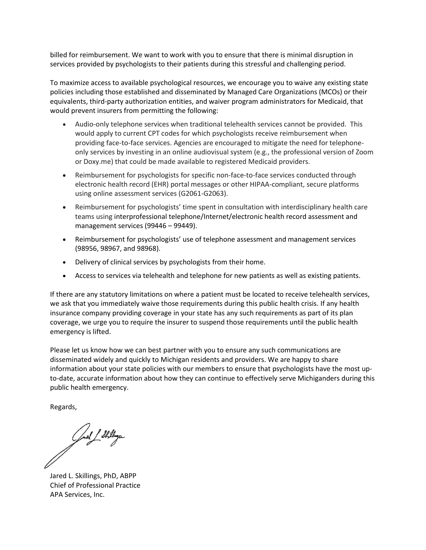billed for reimbursement. We want to work with you to ensure that there is minimal disruption in services provided by psychologists to their patients during this stressful and challenging period.

To maximize access to available psychological resources, we encourage you to waive any existing state policies including those established and disseminated by Managed Care Organizations (MCOs) or their equivalents, third-party authorization entities, and waiver program administrators for Medicaid, that would prevent insurers from permitting the following:

- Audio-only telephone services when traditional telehealth services cannot be provided. This would apply to current CPT codes for which psychologists receive reimbursement when providing face-to-face services. Agencies are encouraged to mitigate the need for telephoneonly services by investing in an online audiovisual system (e.g., the professional version of Zoom or Doxy.me) that could be made available to registered Medicaid providers.
- Reimbursement for psychologists for specific non-face-to-face services conducted through electronic health record (EHR) portal messages or other HIPAA-compliant, secure platforms using online assessment services (G2061-G2063).
- Reimbursement for psychologists' time spent in consultation with interdisciplinary health care teams using interprofessional telephone/Internet/electronic health record assessment and management services (99446 – 99449).
- Reimbursement for psychologists' use of telephone assessment and management services (98956, 98967, and 98968).
- Delivery of clinical services by psychologists from their home.
- Access to services via telehealth and telephone for new patients as well as existing patients.

If there are any statutory limitations on where a patient must be located to receive telehealth services, we ask that you immediately waive those requirements during this public health crisis. If any health insurance company providing coverage in your state has any such requirements as part of its plan coverage, we urge you to require the insurer to suspend those requirements until the public health emergency is lifted.

Please let us know how we can best partner with you to ensure any such communications are disseminated widely and quickly to Michigan residents and providers. We are happy to share information about your state policies with our members to ensure that psychologists have the most upto-date, accurate information about how they can continue to effectively serve Michiganders during this public health emergency.

Regards,

Juel 1 Stillige

Jared L. Skillings, PhD, ABPP Chief of Professional Practice APA Services, Inc.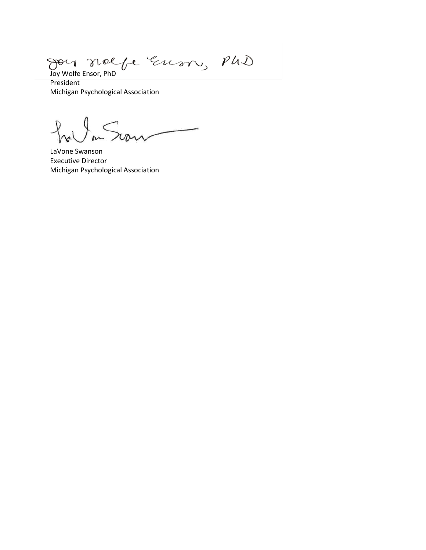Joy Wolfe Ensor, PhD goy

President Michigan Psychological Association

 $\mathcal{L}$ Sion

LaVone Swanson Executive Director Michigan Psychological Association